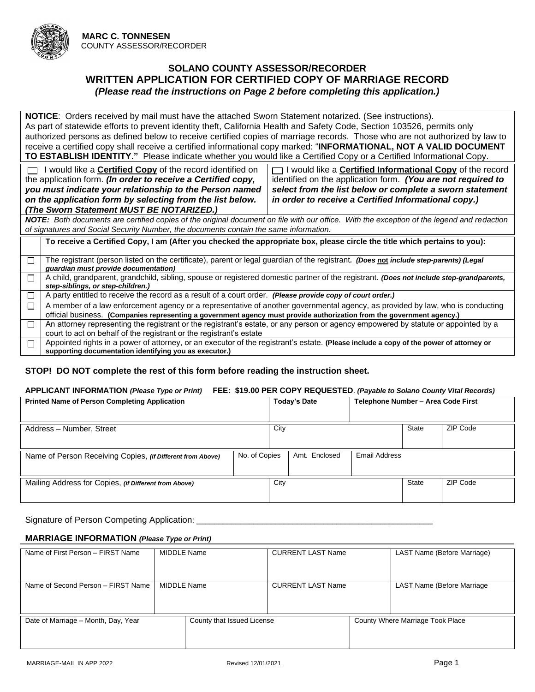

### **SOLANO COUNTY ASSESSOR/RECORDER WRITTEN APPLICATION FOR CERTIFIED COPY OF MARRIAGE RECORD** *(Please read the instructions on Page 2 before completing this application.)*

**NOTICE**: Orders received by mail must have the attached Sworn Statement notarized. (See instructions). As part of statewide efforts to prevent identity theft, California Health and Safety Code, Section 103526, permits only authorized persons as defined below to receive certified copies of marriage records. Those who are not authorized by law to receive a certified copy shall receive a certified informational copy marked: "**INFORMATIONAL, NOT A VALID DOCUMENT TO ESTABLISH IDENTITY."** Please indicate whether you would like a Certified Copy or a Certified Informational Copy.

□ I would like a **Certified Copy** of the record identified on the application form. *(In order to receive a Certified copy, you must indicate your relationship to the Person named on the application form by selecting from the list below. (The Sworn Statement MUST BE NOTARIZED.)*

 I would like a **Certified Informational Copy** of the record identified on the application form. *(You are not required to select from the list below or complete a sworn statement in order to receive a Certified Informational copy.)*

*NOTE: Both documents are certified copies of the original document on file with our office. With the exception of the legend and redaction of signatures and Social Security Number, the documents contain the same information.*

**To receive a Certified Copy, I am (After you checked the appropriate box, please circle the title which pertains to you):** The registrant (person listed on the certificate), parent or legal guardian of the registrant*. (Does* **not** *include step-parents) (Legal*   $\Box$ *guardian must provide documentation)*  $\Box$ A child, grandparent, grandchild, sibling, spouse or registered domestic partner of the registrant. *(Does not include step-grandparents, step-siblings, or step-children.)* П. A party entitled to receive the record as a result of a court order. *(Please provide copy of court order.)* A member of a law enforcement agency or a representative of another governmental agency, as provided by law, who is conducting  $\Box$ official business. **(Companies representing a government agency must provide authorization from the government agency.)** An attorney representing the registrant or the registrant's estate, or any person or agency empowered by statute or appointed by a  $\Box$ court to act on behalf of the registrant or the registrant's estate Appointed rights in a power of attorney, or an executor of the registrant's estate. **(Please include a copy of the power of attorney or**   $\Box$ **supporting documentation identifying you as executor.)**

### **STOP! DO NOT complete the rest of this form before reading the instruction sheet.**

#### **APPLICANT INFORMATION** *(Please Type or Print)* **FEE: \$19.00 PER COPY REQUESTED**. *(Payable to Solano County Vital Records)*

| <b>Printed Name of Person Completing Application</b>       | <b>Today's Date</b>            | Telephone Number - Area Code First |              |          |
|------------------------------------------------------------|--------------------------------|------------------------------------|--------------|----------|
| Address - Number, Street                                   | City                           |                                    | <b>State</b> | ZIP Code |
| Name of Person Receiving Copies, (if Different from Above) | No. of Copies<br>Amt. Enclosed | <b>Email Address</b>               |              |          |
| Mailing Address for Copies, (if Different from Above)      | City                           |                                    | <b>State</b> | ZIP Code |

Signature of Person Competing Application:

### **MARRIAGE INFORMATION** *(Please Type or Print)*

| Name of First Person - FIRST Name   | MIDDLE Name                |  | <b>CURRENT LAST Name</b> |                                  | LAST Name (Before Marriage) |
|-------------------------------------|----------------------------|--|--------------------------|----------------------------------|-----------------------------|
| Name of Second Person - FIRST Name  | MIDDLE Name                |  | <b>CURRENT LAST Name</b> |                                  | LAST Name (Before Marriage  |
| Date of Marriage - Month, Day, Year | County that Issued License |  |                          | County Where Marriage Took Place |                             |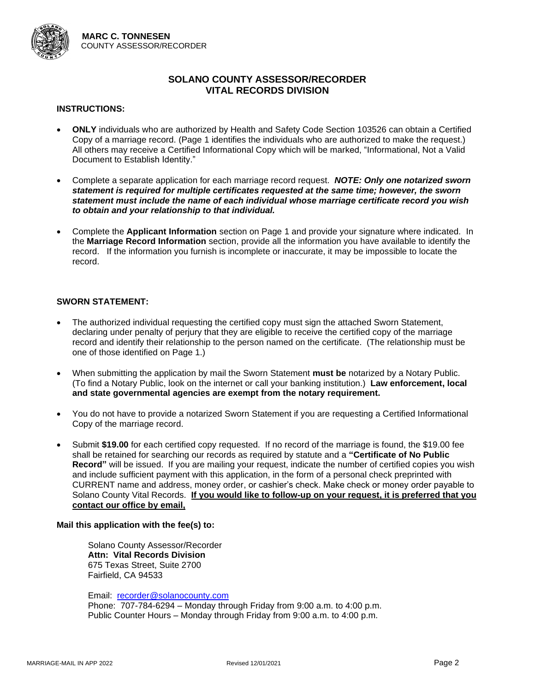

#### **INSTRUCTIONS:**

- **ONLY** individuals who are authorized by Health and Safety Code Section 103526 can obtain a Certified Copy of a marriage record. (Page 1 identifies the individuals who are authorized to make the request.) All others may receive a Certified Informational Copy which will be marked, "Informational, Not a Valid Document to Establish Identity."
- Complete a separate application for each marriage record request. *NOTE: Only one notarized sworn statement is required for multiple certificates requested at the same time; however, the sworn statement must include the name of each individual whose marriage certificate record you wish to obtain and your relationship to that individual.*
- Complete the **Applicant Information** section on Page 1 and provide your signature where indicated. In the **Marriage Record Information** section, provide all the information you have available to identify the record. If the information you furnish is incomplete or inaccurate, it may be impossible to locate the record.

#### **SWORN STATEMENT:**

- The authorized individual requesting the certified copy must sign the attached Sworn Statement, declaring under penalty of perjury that they are eligible to receive the certified copy of the marriage record and identify their relationship to the person named on the certificate. (The relationship must be one of those identified on Page 1.)
- When submitting the application by mail the Sworn Statement **must be** notarized by a Notary Public. (To find a Notary Public, look on the internet or call your banking institution.) **Law enforcement, local and state governmental agencies are exempt from the notary requirement.**
- You do not have to provide a notarized Sworn Statement if you are requesting a Certified Informational Copy of the marriage record.
- Submit **\$19.00** for each certified copy requested. If no record of the marriage is found, the \$19.00 fee shall be retained for searching our records as required by statute and a **"Certificate of No Public Record"** will be issued. If you are mailing your request, indicate the number of certified copies you wish and include sufficient payment with this application, in the form of a personal check preprinted with CURRENT name and address, money order, or cashier's check. Make check or money order payable to Solano County Vital Records. **If you would like to follow-up on your request, it is preferred that you contact our office by email,**

#### **Mail this application with the fee(s) to:**

Solano County Assessor/Recorder **Attn: Vital Records Division** 675 Texas Street, Suite 2700 Fairfield, CA 94533

Email: [recorder@solanocounty.com](mailto:recorder@solanocounty.com)

Phone: 707-784-6294 – Monday through Friday from 9:00 a.m. to 4:00 p.m. Public Counter Hours – Monday through Friday from 9:00 a.m. to 4:00 p.m.